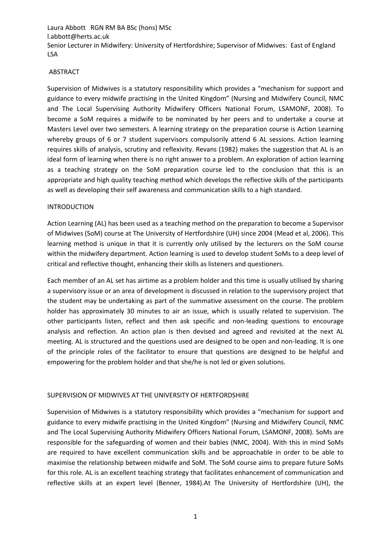## ABSTRACT

Supervision of Midwives is a statutory responsibility which provides a "mechanism for support and guidance to every midwife practising in the United Kingdom" (Nursing and Midwifery Council, NMC and The Local Supervising Authority Midwifery Officers National Forum, LSAMONF, 2008). To become a SoM requires a midwife to be nominated by her peers and to undertake a course at Masters Level over two semesters. A learning strategy on the preparation course is Action Learning whereby groups of 6 or 7 student supervisors compulsorily attend 6 AL sessions. Action learning requires skills of analysis, scrutiny and reflexivity. Revans (1982) makes the suggestion that AL is an ideal form of learning when there is no right answer to a problem. An exploration of action learning as a teaching strategy on the SoM preparation course led to the conclusion that this is an appropriate and high quality teaching method which develops the reflective skills of the participants as well as developing their self awareness and communication skills to a high standard.

## INTRODUCTION

Action Learning (AL) has been used as a teaching method on the preparation to become a Supervisor of Midwives (SoM) course at The University of Hertfordshire (UH) since 2004 (Mead et al, 2006). This learning method is unique in that it is currently only utilised by the lecturers on the SoM course within the midwifery department. Action learning is used to develop student SoMs to a deep level of critical and reflective thought, enhancing their skills as listeners and questioners.

Each member of an AL set has airtime as a problem holder and this time is usually utilised by sharing a supervisory issue or an area of development is discussed in relation to the supervisory project that the student may be undertaking as part of the summative assessment on the course. The problem holder has approximately 30 minutes to air an issue, which is usually related to supervision. The other participants listen, reflect and then ask specific and non-leading questions to encourage analysis and reflection. An action plan is then devised and agreed and revisited at the next AL meeting. AL is structured and the questions used are designed to be open and non-leading. It is one of the principle roles of the facilitator to ensure that questions are designed to be helpful and empowering for the problem holder and that she/he is not led or given solutions.

### SUPERVISION OF MIDWIVES AT THE UNIVERSITY OF HERTFORDSHIRE

Supervision of Midwives is a statutory responsibility which provides a "mechanism for support and guidance to every midwife practising in the United Kingdom" (Nursing and Midwifery Council, NMC and The Local Supervising Authority Midwifery Officers National Forum, LSAMONF, 2008). SoMs are responsible for the safeguarding of women and their babies (NMC, 2004). With this in mind SoMs are required to have excellent communication skills and be approachable in order to be able to maximise the relationship between midwife and SoM. The SoM course aims to prepare future SoMs for this role. AL is an excellent teaching strategy that facilitates enhancement of communication and reflective skills at an expert level (Benner, 1984).At The University of Hertfordshire (UH), the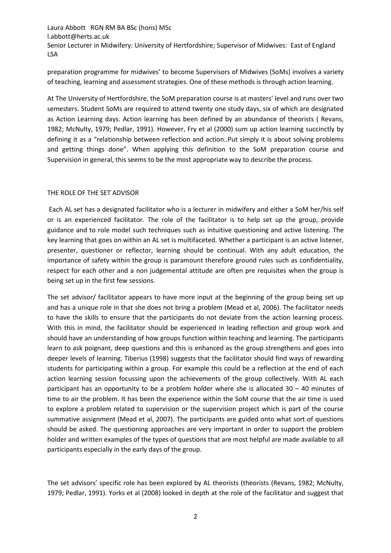preparation programme for midwives' to become Supervisors of Midwives (SoMs) involves a variety of teaching, learning and assessment strategies. One of these methods is through action learning.

At The University of Hertfordshire, the SoM preparation course is at masters' level and runs over two semesters. Student SoMs are required to attend twenty one study days, six of which are designated as Action Learning days. Action learning has been defined by an abundance of theorists ( Revans, 1982; McNulty, 1979; Pedlar, 1991). However, Fry et al (2000) sum up action learning succinctly by defining it as a "relationship between reflection and action..Put simply it is about solving problems and getting things done". When applying this definition to the SoM preparation course and Supervision in general, this seems to be the most appropriate way to describe the process.

# THE ROLE OF THE SET ADVISOR

Each AL set has a designated facilitator who is a lecturer in midwifery and either a SoM her/his self or is an experienced facilitator. The role of the facilitator is to help set up the group, provide guidance and to role model such techniques such as intuitive questioning and active listening. The key learning that goes on within an AL set is multifaceted. Whether a participant is an active listener, presenter, questioner or reflector, learning should be continual. With any adult education, the importance of safety within the group is paramount therefore ground rules such as confidentiality, respect for each other and a non judgemental attitude are often pre requisites when the group is being set up in the first few sessions.

The set advisor/ facilitator appears to have more input at the beginning of the group being set up and has a unique role in that she does not bring a problem (Mead et al, 2006). The facilitator needs to have the skills to ensure that the participants do not deviate from the action learning process. With this in mind, the facilitator should be experienced in leading reflection and group work and should have an understanding of how groups function within teaching and learning. The participants learn to ask poignant, deep questions and this is enhanced as the group strengthens and goes into deeper levels of learning. Tiberius (1998) suggests that the facilitator should find ways of rewarding students for participating within a group. For example this could be a reflection at the end of each action learning session focussing upon the achievements of the group collectively. With AL each participant has an opportunity to be a problem holder where she is allocated 30 – 40 minutes of time to air the problem. It has been the experience within the SoM course that the air time is used to explore a problem related to supervision or the supervision project which is part of the course summative assignment (Mead et al, 2007). The participants are guided onto what sort of questions should be asked. The questioning approaches are very important in order to support the problem holder and written examples of the types of questions that are most helpful are made available to all participants especially in the early days of the group.

The set advisors' specific role has been explored by AL theorists (theorists (Revans, 1982; McNulty, 1979; Pedlar, 1991). Yorks et al (2008) looked in depth at the role of the facilitator and suggest that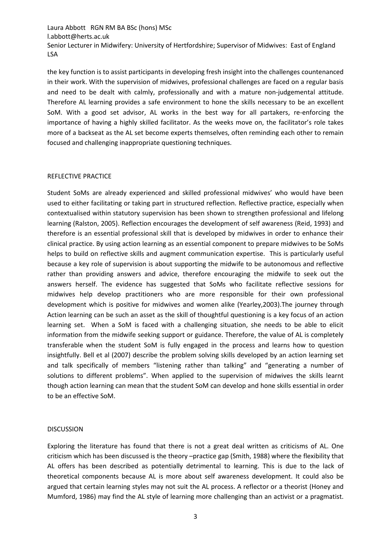the key function is to assist participants in developing fresh insight into the challenges countenanced in their work. With the supervision of midwives, professional challenges are faced on a regular basis and need to be dealt with calmly, professionally and with a mature non-judgemental attitude. Therefore AL learning provides a safe environment to hone the skills necessary to be an excellent SoM. With a good set advisor, AL works in the best way for all partakers, re-enforcing the importance of having a highly skilled facilitator. As the weeks move on, the facilitator's role takes more of a backseat as the AL set become experts themselves, often reminding each other to remain focused and challenging inappropriate questioning techniques.

## REFLECTIVE PRACTICE

Student SoMs are already experienced and skilled professional midwives' who would have been used to either facilitating or taking part in structured reflection. Reflective practice, especially when contextualised within statutory supervision has been shown to strengthen professional and lifelong learning (Ralston, 2005). Reflection encourages the development of self awareness (Reid, 1993) and therefore is an essential professional skill that is developed by midwives in order to enhance their clinical practice. By using action learning as an essential component to prepare midwives to be SoMs helps to build on reflective skills and augment communication expertise. This is particularly useful because a key role of supervision is about supporting the midwife to be autonomous and reflective rather than providing answers and advice, therefore encouraging the midwife to seek out the answers herself. The evidence has suggested that SoMs who facilitate reflective sessions for midwives help develop practitioners who are more responsible for their own professional development which is positive for midwives and women alike (Yearley,2003).The journey through Action learning can be such an asset as the skill of thoughtful questioning is a key focus of an action learning set. When a SoM is faced with a challenging situation, she needs to be able to elicit information from the midwife seeking support or guidance. Therefore, the value of AL is completely transferable when the student SoM is fully engaged in the process and learns how to question insightfully. Bell et al (2007) describe the problem solving skills developed by an action learning set and talk specifically of members "listening rather than talking" and "generating a number of solutions to different problems". When applied to the supervision of midwives the skills learnt though action learning can mean that the student SoM can develop and hone skills essential in order to be an effective SoM.

### DISCUSSION

Exploring the literature has found that there is not a great deal written as criticisms of AL. One criticism which has been discussed is the theory –practice gap (Smith, 1988) where the flexibility that AL offers has been described as potentially detrimental to learning. This is due to the lack of theoretical components because AL is more about self awareness development. It could also be argued that certain learning styles may not suit the AL process. A reflector or a theorist (Honey and Mumford, 1986) may find the AL style of learning more challenging than an activist or a pragmatist.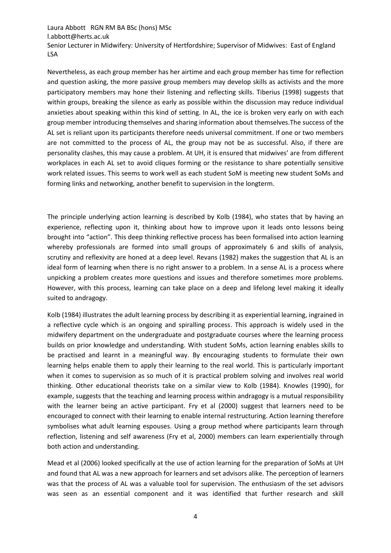Nevertheless, as each group member has her airtime and each group member has time for reflection and question asking, the more passive group members may develop skills as activists and the more participatory members may hone their listening and reflecting skills. Tiberius (1998) suggests that within groups, breaking the silence as early as possible within the discussion may reduce individual anxieties about speaking within this kind of setting. In AL, the ice is broken very early on with each group member introducing themselves and sharing information about themselves.The success of the AL set is reliant upon its participants therefore needs universal commitment. If one or two members are not committed to the process of AL, the group may not be as successful. Also, if there are personality clashes, this may cause a problem. At UH, it is ensured that midwives' are from different workplaces in each AL set to avoid cliques forming or the resistance to share potentially sensitive work related issues. This seems to work well as each student SoM is meeting new student SoMs and forming links and networking, another benefit to supervision in the longterm.

The principle underlying action learning is described by Kolb (1984), who states that by having an experience, reflecting upon it, thinking about how to improve upon it leads onto lessons being brought into "action". This deep thinking reflective process has been formalised into action learning whereby professionals are formed into small groups of approximately 6 and skills of analysis, scrutiny and reflexivity are honed at a deep level. Revans (1982) makes the suggestion that AL is an ideal form of learning when there is no right answer to a problem. In a sense AL is a process where unpicking a problem creates more questions and issues and therefore sometimes more problems. However, with this process, learning can take place on a deep and lifelong level making it ideally suited to andragogy.

Kolb (1984) illustrates the adult learning process by describing it as experiential learning, ingrained in a reflective cycle which is an ongoing and spiralling process. This approach is widely used in the midwifery department on the undergraduate and postgraduate courses where the learning process builds on prior knowledge and understanding. With student SoMs, action learning enables skills to be practised and learnt in a meaningful way. By encouraging students to formulate their own learning helps enable them to apply their learning to the real world. This is particularly important when it comes to supervision as so much of it is practical problem solving and involves real world thinking. Other educational theorists take on a similar view to Kolb (1984). Knowles (1990), for example, suggests that the teaching and learning process within andragogy is a mutual responsibility with the learner being an active participant. Fry et al (2000) suggest that learners need to be encouraged to connect with their learning to enable internal restructuring. Action learning therefore symbolises what adult learning espouses. Using a group method where participants learn through reflection, listening and self awareness (Fry et al, 2000) members can learn experientially through both action and understanding.

Mead et al (2006) looked specifically at the use of action learning for the preparation of SoMs at UH and found that AL was a new approach for learners and set advisors alike. The perception of learners was that the process of AL was a valuable tool for supervision. The enthusiasm of the set advisors was seen as an essential component and it was identified that further research and skill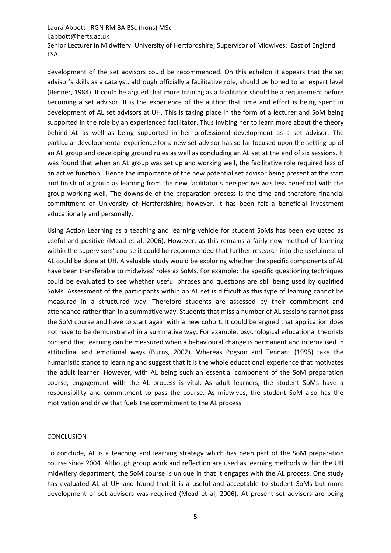development of the set advisors could be recommended. On this echelon it appears that the set advisor's skills as a catalyst, although officially a facilitative role, should be honed to an expert level (Benner, 1984). It could be argued that more training as a facilitator should be a requirement before becoming a set advisor. It is the experience of the author that time and effort is being spent in development of AL set advisors at UH. This is taking place in the form of a lecturer and SoM being supported in the role by an experienced facilitator. Thus inviting her to learn more about the theory behind AL as well as being supported in her professional development as a set advisor. The particular developmental experience for a new set advisor has so far focused upon the setting up of an AL group and developing ground rules as well as concluding an AL set at the end of six sessions. It was found that when an AL group was set up and working well, the facilitative role required less of an active function. Hence the importance of the new potential set advisor being present at the start and finish of a group as learning from the new facilitator's perspective was less beneficial with the group working well. The downside of the preparation process is the time and therefore financial commitment of University of Hertfordshire; however, it has been felt a beneficial investment educationally and personally.

Using Action Learning as a teaching and learning vehicle for student SoMs has been evaluated as useful and positive (Mead et al, 2006). However, as this remains a fairly new method of learning within the supervisors' course it could be recommended that further research into the usefulness of AL could be done at UH. A valuable study would be exploring whether the specific components of AL have been transferable to midwives' roles as SoMs. For example: the specific questioning techniques could be evaluated to see whether useful phrases and questions are still being used by qualified SoMs. Assessment of the participants within an AL set is difficult as this type of learning cannot be measured in a structured way. Therefore students are assessed by their commitment and attendance rather than in a summative way. Students that miss a number of AL sessions cannot pass the SoM course and have to start again with a new cohort. It could be argued that application does not have to be demonstrated in a summative way. For example, psychological educational theorists contend that learning can be measured when a behavioural change is permanent and internalised in attitudinal and emotional ways (Burns, 2002). Whereas Pogson and Tennant (1995) take the humanistic stance to learning and suggest that it is the whole educational experience that motivates the adult learner. However, with AL being such an essential component of the SoM preparation course, engagement with the AL process is vital. As adult learners, the student SoMs have a responsibility and commitment to pass the course. As midwives, the student SoM also has the motivation and drive that fuels the commitment to the AL process.

### **CONCLUSION**

To conclude, AL is a teaching and learning strategy which has been part of the SoM preparation course since 2004. Although group work and reflection are used as learning methods within the UH midwifery department, the SoM course is unique in that it engages with the AL process. One study has evaluated AL at UH and found that it is a useful and acceptable to student SoMs but more development of set advisors was required (Mead et al, 2006). At present set advisors are being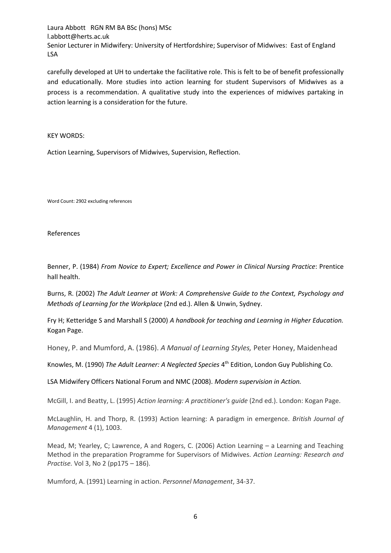carefully developed at UH to undertake the facilitative role. This is felt to be of benefit professionally and educationally. More studies into action learning for student Supervisors of Midwives as a process is a recommendation. A qualitative study into the experiences of midwives partaking in action learning is a consideration for the future.

KEY WORDS:

Action Learning, Supervisors of Midwives, Supervision, Reflection.

Word Count: 2902 excluding references

References

Benner, P. (1984) *From Novice to Expert; Excellence and Power in Clinical Nursing Practice*: Prentice hall health.

Burns, R. (2002) *The Adult Learner at Work: A Comprehensive Guide to the Context, Psychology and Methods of Learning for the Workplace* (2nd ed.). Allen & Unwin, Sydney.

Fry H; Ketteridge S and Marshall S (2000) *A handbook for teaching and Learning in Higher Education.*  Kogan Page.

Honey, P. and Mumford, A. (1986). *A Manual of Learning Styles,* Peter Honey, Maidenhead

Knowles, M. (1990) The Adult Learner: A Neglected Species 4<sup>th</sup> Edition, London Guy Publishing Co.

LSA Midwifery Officers National Forum and NMC (2008). *Modern supervision in Action.*

McGill, I. and Beatty, L. (1995) *Action learning: A practitioner's guide* (2nd ed.). London: Kogan Page.

McLaughlin, H. and Thorp, R. (1993) Action learning: A paradigm in emergence. *British Journal of Management* 4 (1), 1003.

Mead, M; Yearley, C; Lawrence, A and Rogers, C. (2006) Action Learning – a Learning and Teaching Method in the preparation Programme for Supervisors of Midwives. *Action Learning: Research and Practise.* Vol 3, No 2 (pp175 – 186).

Mumford, A. (1991) Learning in action. *Personnel Management*, 34-37.